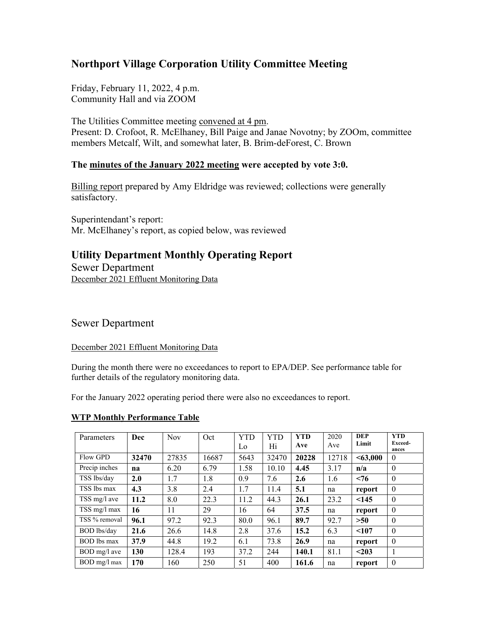# **Northport Village Corporation Utility Committee Meeting**

Friday, February 11, 2022, 4 p.m. Community Hall and via ZOOM

The Utilities Committee meeting convened at 4 pm. Present: D. Crofoot, R. McElhaney, Bill Paige and Janae Novotny; by ZOOm, committee members Metcalf, Wilt, and somewhat later, B. Brim-deForest, C. Brown

### **The minutes of the January 2022 meeting were accepted by vote 3:0.**

Billing report prepared by Amy Eldridge was reviewed; collections were generally satisfactory.

Superintendant's report: Mr. McElhaney's report, as copied below, was reviewed

## **Utility Department Monthly Operating Report**

Sewer Department December 2021 Effluent Monitoring Data

## Sewer Department

#### December 2021 Effluent Monitoring Data

During the month there were no exceedances to report to EPA/DEP. See performance table for further details of the regulatory monitoring data.

For the January 2022 operating period there were also no exceedances to report.

#### **WTP Monthly Performance Table**

| Parameters         | Dec   | <b>Nov</b> | Oct   | <b>YTD</b> | <b>YTD</b> | <b>YTD</b> | 2020  | <b>DEP</b> | <b>YTD</b>       |
|--------------------|-------|------------|-------|------------|------------|------------|-------|------------|------------------|
|                    |       |            |       | Lo         | Hi         | Ave        | Ave   | Limit      | Exceed-<br>ances |
| Flow GPD           | 32470 | 27835      | 16687 | 5643       | 32470      | 20228      | 12718 | $<$ 63,000 | $\theta$         |
| Precip inches      | na    | 6.20       | 6.79  | 1.58       | 10.10      | 4.45       | 3.17  | n/a        | $\theta$         |
| TSS lbs/day        | 2.0   | 1.7        | 1.8   | 0.9        | 7.6        | 2.6        | 1.6   | < 76       | $\Omega$         |
| TSS lbs max        | 4.3   | 3.8        | 2.4   | 1.7        | 11.4       | 5.1        | na    | report     | $\theta$         |
| TSS mg/l ave       | 11.2  | 8.0        | 22.3  | 11.2       | 44.3       | 26.1       | 23.2  | < 145      | $\theta$         |
| TSS mg/l max       | 16    | 11         | 29    | 16         | 64         | 37.5       | na    | report     | $\theta$         |
| TSS % removal      | 96.1  | 97.2       | 92.3  | 80.0       | 96.1       | 89.7       | 92.7  | >50        | $\theta$         |
| <b>BOD</b> lbs/day | 21.6  | 26.6       | 14.8  | 2.8        | 37.6       | 15.2       | 6.3   | < 107      | $\theta$         |
| BOD lbs max        | 37.9  | 44.8       | 19.2  | 6.1        | 73.8       | 26.9       | na    | report     | $\theta$         |
| BOD mg/l ave       | 130   | 128.4      | 193   | 37.2       | 244        | 140.1      | 81.1  | $203$      |                  |
| BOD mg/l max       | 170   | 160        | 250   | 51         | 400        | 161.6      | na    | report     | $\theta$         |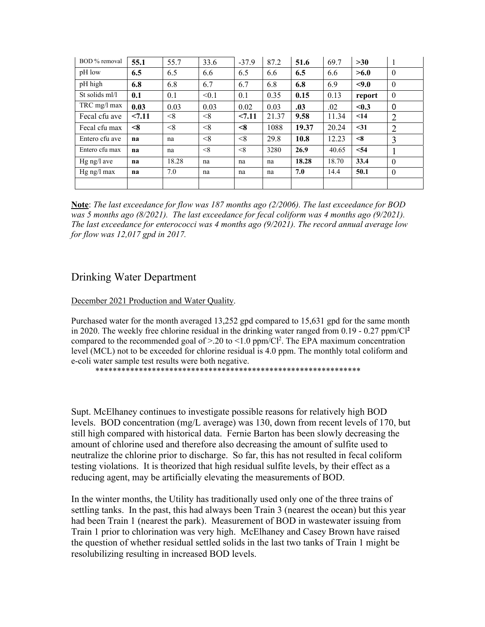| BOD % removal  | 55.1     | 55.7  | 33.6  | $-37.9$  | 87.2  | 51.6  | 69.7  | >30       | -1             |
|----------------|----------|-------|-------|----------|-------|-------|-------|-----------|----------------|
| pH low         | 6.5      | 6.5   | 6.6   | 6.5      | 6.6   | 6.5   | 6.6   | >6.0      | $\mathbf{0}$   |
| pH high        | 6.8      | 6.8   | 6.7   | 6.7      | 6.8   | 6.8   | 6.9   | < 9.0     | $\theta$       |
| St solids ml/l | 0.1      | 0.1   | < 0.1 | 0.1      | 0.35  | 0.15  | 0.13  | report    | $\theta$       |
| $TRC$ mg/l max | 0.03     | 0.03  | 0.03  | 0.02     | 0.03  | .03   | .02   | < 0.3     | $\mathbf{0}$   |
| Fecal cfu ave  | < 7.11   | < 8   | < 8   | 27.11    | 21.37 | 9.58  | 11.34 | $\leq$ 14 | $\overline{2}$ |
| Fecal cfu max  | $\leq 8$ | < 8   | < 8   | $<\!\!8$ | 1088  | 19.37 | 20.24 | $31$      | $\overline{2}$ |
| Entero cfu ave | na       | na    | < 8   | < 8      | 29.8  | 10.8  | 12.23 | $\leq 8$  | 3              |
| Entero cfu max | na       | na    | < 8   | < 8      | 3280  | 26.9  | 40.65 | < 54      |                |
| $Hg$ ng/l ave  | na       | 18.28 | na    | na       | na    | 18.28 | 18.70 | 33.4      | $\theta$       |
| $Hg$ ng/l max  | na       | 7.0   | na    | na       | na    | 7.0   | 14.4  | 50.1      | $\theta$       |
|                |          |       |       |          |       |       |       |           |                |

**Note**: *The last exceedance for flow was 187 months ago (2/2006). The last exceedance for BOD was 5 months ago (8/2021). The last exceedance for fecal coliform was 4 months ago (9/2021). The last exceedance for enterococci was 4 months ago (9/2021). The record annual average low for flow was 12,017 gpd in 2017.* 

## Drinking Water Department

December 2021 Production and Water Quality.

Purchased water for the month averaged 13,252 gpd compared to 15,631 gpd for the same month in 2020. The weekly free chlorine residual in the drinking water ranged from 0.19 - 0.27 ppm/Cl**<sup>2</sup>** compared to the recommended goal of  $> 20$  to  $\leq 1.0$  ppm/Cl<sup>2</sup>. The EPA maximum concentration level (MCL) not to be exceeded for chlorine residual is 4.0 ppm. The monthly total coliform and e-coli water sample test results were both negative.

\*\*\*\*\*\*\*\*\*\*\*\*\*\*\*\*\*\*\*\*\*\*\*\*\*\*\*\*\*\*\*\*\*\*\*\*\*\*\*\*\*\*\*\*\*\*\*\*\*\*\*\*\*\*\*\*\*\*\*\*\*

Supt. McElhaney continues to investigate possible reasons for relatively high BOD levels. BOD concentration (mg/L average) was 130, down from recent levels of 170, but still high compared with historical data. Fernie Barton has been slowly decreasing the amount of chlorine used and therefore also decreasing the amount of sulfite used to neutralize the chlorine prior to discharge. So far, this has not resulted in fecal coliform testing violations. It is theorized that high residual sulfite levels, by their effect as a reducing agent, may be artificially elevating the measurements of BOD.

In the winter months, the Utility has traditionally used only one of the three trains of settling tanks. In the past, this had always been Train 3 (nearest the ocean) but this year had been Train 1 (nearest the park). Measurement of BOD in wastewater issuing from Train 1 prior to chlorination was very high. McElhaney and Casey Brown have raised the question of whether residual settled solids in the last two tanks of Train 1 might be resolubilizing resulting in increased BOD levels.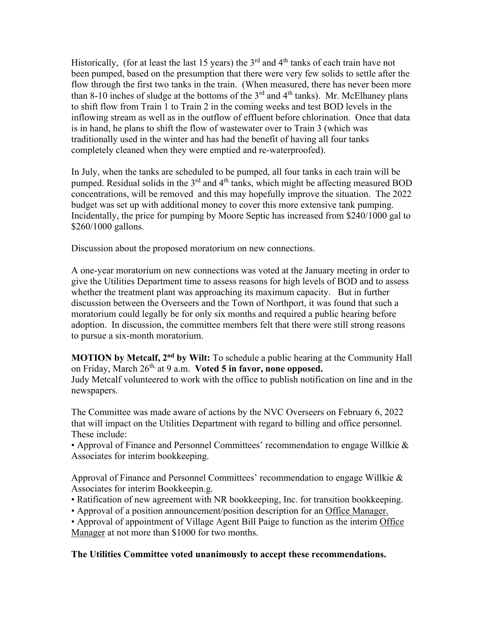Historically, (for at least the last 15 years) the  $3<sup>rd</sup>$  and  $4<sup>th</sup>$  tanks of each train have not been pumped, based on the presumption that there were very few solids to settle after the flow through the first two tanks in the train. (When measured, there has never been more than 8-10 inches of sludge at the bottoms of the  $3<sup>rd</sup>$  and  $4<sup>th</sup>$  tanks). Mr. McElhaney plans to shift flow from Train 1 to Train 2 in the coming weeks and test BOD levels in the inflowing stream as well as in the outflow of effluent before chlorination. Once that data is in hand, he plans to shift the flow of wastewater over to Train 3 (which was traditionally used in the winter and has had the benefit of having all four tanks completely cleaned when they were emptied and re-waterproofed).

In July, when the tanks are scheduled to be pumped, all four tanks in each train will be pumped. Residual solids in the  $3<sup>rd</sup>$  and  $4<sup>th</sup>$  tanks, which might be affecting measured BOD concentrations, will be removed and this may hopefully improve the situation. The 2022 budget was set up with additional money to cover this more extensive tank pumping. Incidentally, the price for pumping by Moore Septic has increased from \$240/1000 gal to \$260/1000 gallons.

Discussion about the proposed moratorium on new connections.

A one-year moratorium on new connections was voted at the January meeting in order to give the Utilities Department time to assess reasons for high levels of BOD and to assess whether the treatment plant was approaching its maximum capacity. But in further discussion between the Overseers and the Town of Northport, it was found that such a moratorium could legally be for only six months and required a public hearing before adoption. In discussion, the committee members felt that there were still strong reasons to pursue a six-month moratorium.

**MOTION by Metcalf, 2<sup>nd</sup> by Wilt:** To schedule a public hearing at the Community Hall on Friday, March 26th, at 9 a.m. **Voted 5 in favor, none opposed.**

Judy Metcalf volunteered to work with the office to publish notification on line and in the newspapers.

The Committee was made aware of actions by the NVC Overseers on February 6, 2022 that will impact on the Utilities Department with regard to billing and office personnel. These include:

• Approval of Finance and Personnel Committees' recommendation to engage Willkie & Associates for interim bookkeeping.

Approval of Finance and Personnel Committees' recommendation to engage Willkie  $\&$ Associates for interim Bookkeepin.g.

• Ratification of new agreement with NR bookkeeping, Inc. for transition bookkeeping.

• Approval of a position announcement/position description for an Office Manager.

• Approval of appointment of Village Agent Bill Paige to function as the interim Office Manager at not more than \$1000 for two months.

### **The Utilities Committee voted unanimously to accept these recommendations.**